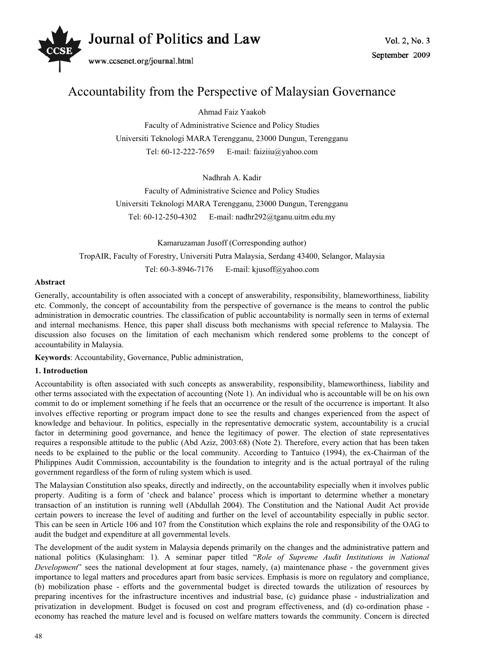

# Accountability from the Perspective of Malaysian Governance

Ahmad Faiz Yaakob

Faculty of Administrative Science and Policy Studies Universiti Teknologi MARA Terengganu, 23000 Dungun, Terengganu Tel: 60-12-222-7659 E-mail: faiziiu@yahoo.com

Nadhrah A. Kadir

Faculty of Administrative Science and Policy Studies Universiti Teknologi MARA Terengganu, 23000 Dungun, Terengganu Tel: 60-12-250-4302 E-mail: nadhr292@tganu.uitm.edu.my

Kamaruzaman Jusoff (Corresponding author) TropAIR, Faculty of Forestry, Universiti Putra Malaysia, Serdang 43400, Selangor, Malaysia Tel: 60-3-8946-7176 E-mail: kjusoff@yahoo.com

# **Abstract**

Generally, accountability is often associated with a concept of answerability, responsibility, blameworthiness, liability etc. Commonly, the concept of accountability from the perspective of governance is the means to control the public administration in democratic countries. The classification of public accountability is normally seen in terms of external and internal mechanisms. Hence, this paper shall discuss both mechanisms with special reference to Malaysia. The discussion also focuses on the limitation of each mechanism which rendered some problems to the concept of accountability in Malaysia.

**Keywords**: Accountability, Governance, Public administration,

# **1. Introduction**

Accountability is often associated with such concepts as answerability, responsibility, blameworthiness, liability and other terms associated with the expectation of accounting (Note 1). An individual who is accountable will be on his own commit to do or implement something if he feels that an occurrence or the result of the occurrence is important. It also involves effective reporting or program impact done to see the results and changes experienced from the aspect of knowledge and behaviour. In politics, especially in the representative democratic system, accountability is a crucial factor in determining good governance, and hence the legitimacy of power. The election of state representatives requires a responsible attitude to the public (Abd Aziz, 2003:68) (Note 2). Therefore, every action that has been taken needs to be explained to the public or the local community. According to Tantuico (1994), the ex-Chairman of the Philippines Audit Commission, accountability is the foundation to integrity and is the actual portrayal of the ruling government regardless of the form of ruling system which is used.

The Malaysian Constitution also speaks, directly and indirectly, on the accountability especially when it involves public property. Auditing is a form of 'check and balance' process which is important to determine whether a monetary transaction of an institution is running well (Abdullah 2004). The Constitution and the National Audit Act provide certain powers to increase the level of auditing and further on the level of accountability especially in public sector. This can be seen in Article 106 and 107 from the Constitution which explains the role and responsibility of the OAG to audit the budget and expenditure at all governmental levels.

The development of the audit system in Malaysia depends primarily on the changes and the administrative pattern and national politics (Kulasingham: 1). A seminar paper titled "*Role of Supreme Audit Institutions in National Development*" sees the national development at four stages, namely, (a) maintenance phase - the government gives importance to legal matters and procedures apart from basic services. Emphasis is more on regulatory and compliance, (b) mobilization phase - efforts and the governmental budget is directed towards the utilization of resources by preparing incentives for the infrastructure incentives and industrial base, (c) guidance phase - industrialization and privatization in development. Budget is focused on cost and program effectiveness, and (d) co-ordination phase economy has reached the mature level and is focused on welfare matters towards the community. Concern is directed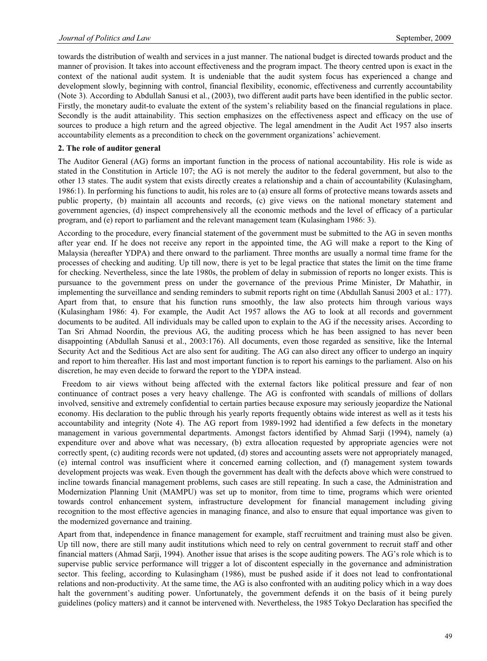towards the distribution of wealth and services in a just manner. The national budget is directed towards product and the manner of provision. It takes into account effectiveness and the program impact. The theory centred upon is exact in the context of the national audit system. It is undeniable that the audit system focus has experienced a change and development slowly, beginning with control, financial flexibility, economic, effectiveness and currently accountability (Note 3). According to Abdullah Sanusi et al., (2003), two different audit parts have been identified in the public sector. Firstly, the monetary audit-to evaluate the extent of the system's reliability based on the financial regulations in place. Secondly is the audit attainability. This section emphasizes on the effectiveness aspect and efficacy on the use of sources to produce a high return and the agreed objective. The legal amendment in the Audit Act 1957 also inserts accountability elements as a precondition to check on the government organizations' achievement.

#### **2. The role of auditor general**

The Auditor General (AG) forms an important function in the process of national accountability. His role is wide as stated in the Constitution in Article 107; the AG is not merely the auditor to the federal government, but also to the other 13 states. The audit system that exists directly creates a relationship and a chain of accountability (Kulasingham, 1986:1). In performing his functions to audit, his roles are to (a) ensure all forms of protective means towards assets and public property, (b) maintain all accounts and records, (c) give views on the national monetary statement and government agencies, (d) inspect comprehensively all the economic methods and the level of efficacy of a particular program, and (e) report to parliament and the relevant management team (Kulasingham 1986: 3).

According to the procedure, every financial statement of the government must be submitted to the AG in seven months after year end. If he does not receive any report in the appointed time, the AG will make a report to the King of Malaysia (hereafter YDPA) and there onward to the parliament. Three months are usually a normal time frame for the processes of checking and auditing. Up till now, there is yet to be legal practice that states the limit on the time frame for checking. Nevertheless, since the late 1980s, the problem of delay in submission of reports no longer exists. This is pursuance to the government press on under the governance of the previous Prime Minister, Dr Mahathir, in implementing the surveillance and sending reminders to submit reports right on time (Abdullah Sanusi 2003 et al.: 177). Apart from that, to ensure that his function runs smoothly, the law also protects him through various ways (Kulasingham 1986: 4). For example, the Audit Act 1957 allows the AG to look at all records and government documents to be audited. All individuals may be called upon to explain to the AG if the necessity arises. According to Tan Sri Ahmad Noordin, the previous AG, the auditing process which he has been assigned to has never been disappointing (Abdullah Sanusi et al., 2003:176). All documents, even those regarded as sensitive, like the Internal Security Act and the Seditious Act are also sent for auditing. The AG can also direct any officer to undergo an inquiry and report to him thereafter. His last and most important function is to report his earnings to the parliament. Also on his discretion, he may even decide to forward the report to the YDPA instead.

 Freedom to air views without being affected with the external factors like political pressure and fear of non continuance of contract poses a very heavy challenge. The AG is confronted with scandals of millions of dollars involved, sensitive and extremely confidential to certain parties because exposure may seriously jeopardize the National economy. His declaration to the public through his yearly reports frequently obtains wide interest as well as it tests his accountability and integrity (Note 4). The AG report from 1989-1992 had identified a few defects in the monetary management in various governmental departments. Amongst factors identified by Ahmad Sarji (1994), namely (a) expenditure over and above what was necessary, (b) extra allocation requested by appropriate agencies were not correctly spent, (c) auditing records were not updated, (d) stores and accounting assets were not appropriately managed, (e) internal control was insufficient where it concerned earning collection, and (f) management system towards development projects was weak. Even though the government has dealt with the defects above which were construed to incline towards financial management problems, such cases are still repeating. In such a case, the Administration and Modernization Planning Unit (MAMPU) was set up to monitor, from time to time, programs which were oriented towards control enhancement system, infrastructure development for financial management including giving recognition to the most effective agencies in managing finance, and also to ensure that equal importance was given to the modernized governance and training.

Apart from that, independence in finance management for example, staff recruitment and training must also be given. Up till now, there are still many audit institutions which need to rely on central government to recruit staff and other financial matters (Ahmad Sarji, 1994). Another issue that arises is the scope auditing powers. The AG's role which is to supervise public service performance will trigger a lot of discontent especially in the governance and administration sector. This feeling, according to Kulasingham (1986), must be pushed aside if it does not lead to confrontational relations and non-productivity. At the same time, the AG is also confronted with an auditing policy which in a way does halt the government's auditing power. Unfortunately, the government defends it on the basis of it being purely guidelines (policy matters) and it cannot be intervened with. Nevertheless, the 1985 Tokyo Declaration has specified the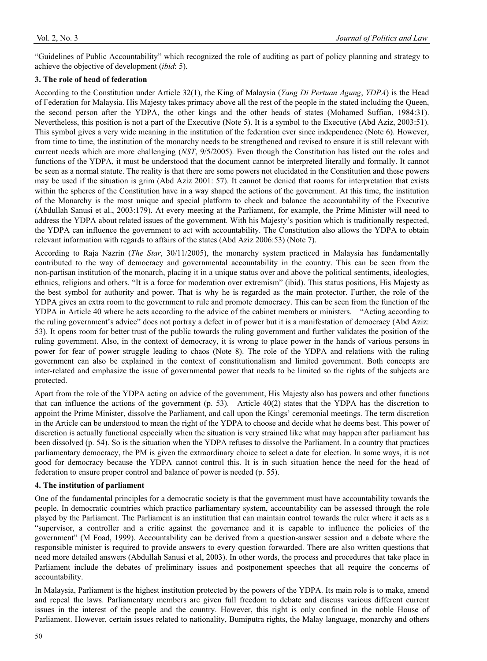"Guidelines of Public Accountability" which recognized the role of auditing as part of policy planning and strategy to achieve the objective of development (*ibid*: 5).

# **3. The role of head of federation**

According to the Constitution under Article 32(1), the King of Malaysia (*Yang Di Pertuan Agung*, *YDPA*) is the Head of Federation for Malaysia. His Majesty takes primacy above all the rest of the people in the stated including the Queen, the second person after the YDPA, the other kings and the other heads of states (Mohamed Suffian, 1984:31). Nevertheless, this position is not a part of the Executive (Note 5). It is a symbol to the Executive (Abd Aziz, 2003:51). This symbol gives a very wide meaning in the institution of the federation ever since independence (Note 6). However, from time to time, the institution of the monarchy needs to be strengthened and revised to ensure it is still relevant with current needs which are more challenging (*NST*, 9/5/2005). Even though the Constitution has listed out the roles and functions of the YDPA, it must be understood that the document cannot be interpreted literally and formally. It cannot be seen as a normal statute. The reality is that there are some powers not elucidated in the Constitution and these powers may be used if the situation is grim (Abd Aziz 2001: 57). It cannot be denied that rooms for interpretation that exists within the spheres of the Constitution have in a way shaped the actions of the government. At this time, the institution of the Monarchy is the most unique and special platform to check and balance the accountability of the Executive (Abdullah Sanusi et al., 2003:179). At every meeting at the Parliament, for example, the Prime Minister will need to address the YDPA about related issues of the government. With his Majesty's position which is traditionally respected, the YDPA can influence the government to act with accountability. The Constitution also allows the YDPA to obtain relevant information with regards to affairs of the states (Abd Aziz 2006:53) (Note 7).

According to Raja Nazrin (*The Star*, 30/11/2005), the monarchy system practiced in Malaysia has fundamentally contributed to the way of democracy and governmental accountability in the country. This can be seen from the non-partisan institution of the monarch, placing it in a unique status over and above the political sentiments, ideologies, ethnics, religions and others. "It is a force for moderation over extremism" (ibid). This status positions, His Majesty as the best symbol for authority and power. That is why he is regarded as the main protector. Further, the role of the YDPA gives an extra room to the government to rule and promote democracy. This can be seen from the function of the YDPA in Article 40 where he acts according to the advice of the cabinet members or ministers. "Acting according to the ruling government's advice" does not portray a defect in of power but it is a manifestation of democracy (Abd Aziz: 53). It opens room for better trust of the public towards the ruling government and further validates the position of the ruling government. Also, in the context of democracy, it is wrong to place power in the hands of various persons in power for fear of power struggle leading to chaos (Note 8). The role of the YDPA and relations with the ruling government can also be explained in the context of constitutionalism and limited government. Both concepts are inter-related and emphasize the issue of governmental power that needs to be limited so the rights of the subjects are protected.

Apart from the role of the YDPA acting on advice of the government, His Majesty also has powers and other functions that can influence the actions of the government (p. 53). Article 40(2) states that the YDPA has the discretion to appoint the Prime Minister, dissolve the Parliament, and call upon the Kings' ceremonial meetings. The term discretion in the Article can be understood to mean the right of the YDPA to choose and decide what he deems best. This power of discretion is actually functional especially when the situation is very strained like what may happen after parliament has been dissolved (p. 54). So is the situation when the YDPA refuses to dissolve the Parliament. In a country that practices parliamentary democracy, the PM is given the extraordinary choice to select a date for election. In some ways, it is not good for democracy because the YDPA cannot control this. It is in such situation hence the need for the head of federation to ensure proper control and balance of power is needed (p. 55).

#### **4. The institution of parliament**

One of the fundamental principles for a democratic society is that the government must have accountability towards the people. In democratic countries which practice parliamentary system, accountability can be assessed through the role played by the Parliament. The Parliament is an institution that can maintain control towards the ruler where it acts as a "supervisor, a controller and a critic against the governance and it is capable to influence the policies of the government" (M Foad, 1999). Accountability can be derived from a question-answer session and a debate where the responsible minister is required to provide answers to every question forwarded. There are also written questions that need more detailed answers (Abdullah Sanusi et al, 2003). In other words, the process and procedures that take place in Parliament include the debates of preliminary issues and postponement speeches that all require the concerns of accountability.

In Malaysia, Parliament is the highest institution protected by the powers of the YDPA. Its main role is to make, amend and repeal the laws. Parliamentary members are given full freedom to debate and discuss various different current issues in the interest of the people and the country. However, this right is only confined in the noble House of Parliament. However, certain issues related to nationality, Bumiputra rights, the Malay language, monarchy and others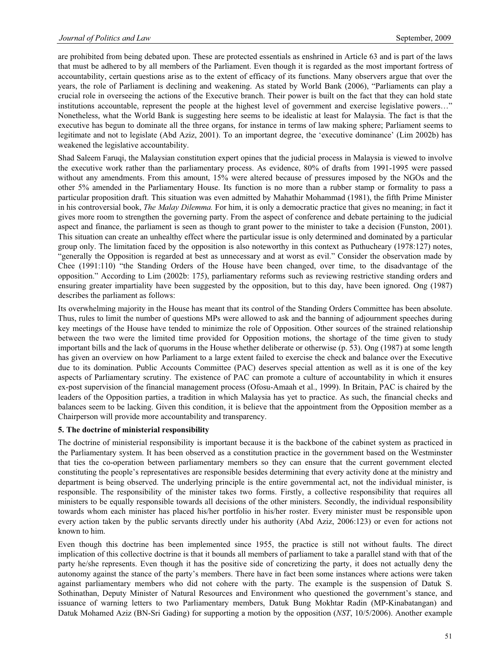are prohibited from being debated upon. These are protected essentials as enshrined in Article 63 and is part of the laws that must be adhered to by all members of the Parliament. Even though it is regarded as the most important fortress of accountability, certain questions arise as to the extent of efficacy of its functions. Many observers argue that over the years, the role of Parliament is declining and weakening. As stated by World Bank (2006), "Parliaments can play a crucial role in overseeing the actions of the Executive branch. Their power is built on the fact that they can hold state institutions accountable, represent the people at the highest level of government and exercise legislative powers…" Nonetheless, what the World Bank is suggesting here seems to be idealistic at least for Malaysia. The fact is that the executive has begun to dominate all the three organs, for instance in terms of law making sphere; Parliament seems to legitimate and not to legislate (Abd Aziz, 2001). To an important degree, the 'executive dominance' (Lim 2002b) has weakened the legislative accountability.

Shad Saleem Faruqi, the Malaysian constitution expert opines that the judicial process in Malaysia is viewed to involve the executive work rather than the parliamentary process. As evidence, 80% of drafts from 1991-1995 were passed without any amendments. From this amount, 15% were altered because of pressures imposed by the NGOs and the other 5% amended in the Parliamentary House. Its function is no more than a rubber stamp or formality to pass a particular proposition draft. This situation was even admitted by Mahathir Mohammad (1981), the fifth Prime Minister in his controversial book, *The Malay Dilemma.* For him, it is only a democratic practice that gives no meaning; in fact it gives more room to strengthen the governing party. From the aspect of conference and debate pertaining to the judicial aspect and finance, the parliament is seen as though to grant power to the minister to take a decision (Funston, 2001). This situation can create an unhealthy effect where the particular issue is only determined and dominated by a particular group only. The limitation faced by the opposition is also noteworthy in this context as Puthucheary (1978:127) notes, "generally the Opposition is regarded at best as unnecessary and at worst as evil." Consider the observation made by Chee (1991:110) "the Standing Orders of the House have been changed, over time, to the disadvantage of the opposition." According to Lim (2002b: 175), parliamentary reforms such as reviewing restrictive standing orders and ensuring greater impartiality have been suggested by the opposition, but to this day, have been ignored. Ong (1987) describes the parliament as follows:

Its overwhelming majority in the House has meant that its control of the Standing Orders Committee has been absolute. Thus, rules to limit the number of questions MPs were allowed to ask and the banning of adjournment speeches during key meetings of the House have tended to minimize the role of Opposition. Other sources of the strained relationship between the two were the limited time provided for Opposition motions, the shortage of the time given to study important bills and the lack of quorums in the House whether deliberate or otherwise (p. 53). Ong (1987) at some length has given an overview on how Parliament to a large extent failed to exercise the check and balance over the Executive due to its domination. Public Accounts Committee (PAC) deserves special attention as well as it is one of the key aspects of Parliamentary scrutiny. The existence of PAC can promote a culture of accountability in which it ensures ex-post supervision of the financial management process (Ofosu-Amaah et al., 1999). In Britain, PAC is chaired by the leaders of the Opposition parties, a tradition in which Malaysia has yet to practice. As such, the financial checks and balances seem to be lacking. Given this condition, it is believe that the appointment from the Opposition member as a Chairperson will provide more accountability and transparency.

#### **5. The doctrine of ministerial responsibility**

The doctrine of ministerial responsibility is important because it is the backbone of the cabinet system as practiced in the Parliamentary system. It has been observed as a constitution practice in the government based on the Westminster that ties the co-operation between parliamentary members so they can ensure that the current government elected constituting the people's representatives are responsible besides determining that every activity done at the ministry and department is being observed. The underlying principle is the entire governmental act, not the individual minister, is responsible. The responsibility of the minister takes two forms. Firstly, a collective responsibility that requires all ministers to be equally responsible towards all decisions of the other ministers. Secondly, the individual responsibility towards whom each minister has placed his/her portfolio in his/her roster. Every minister must be responsible upon every action taken by the public servants directly under his authority (Abd Aziz, 2006:123) or even for actions not known to him.

Even though this doctrine has been implemented since 1955, the practice is still not without faults. The direct implication of this collective doctrine is that it bounds all members of parliament to take a parallel stand with that of the party he/she represents. Even though it has the positive side of concretizing the party, it does not actually deny the autonomy against the stance of the party's members. There have in fact been some instances where actions were taken against parliamentary members who did not cohere with the party. The example is the suspension of Datuk S. Sothinathan, Deputy Minister of Natural Resources and Environment who questioned the government's stance, and issuance of warning letters to two Parliamentary members, Datuk Bung Mokhtar Radin (MP-Kinabatangan) and Datuk Mohamed Aziz (BN-Sri Gading) for supporting a motion by the opposition (*NST*, 10/5/2006). Another example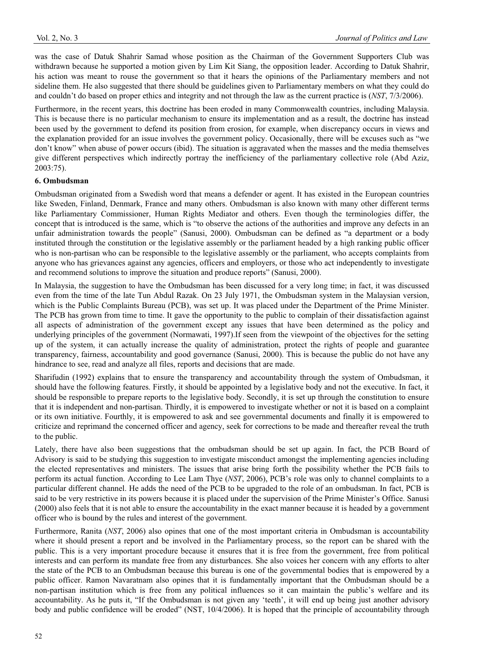was the case of Datuk Shahrir Samad whose position as the Chairman of the Government Supporters Club was withdrawn because he supported a motion given by Lim Kit Siang, the opposition leader. According to Datuk Shahrir, his action was meant to rouse the government so that it hears the opinions of the Parliamentary members and not sideline them. He also suggested that there should be guidelines given to Parliamentary members on what they could do and couldn't do based on proper ethics and integrity and not through the law as the current practice is (*NST*, 7/3/2006).

Furthermore, in the recent years, this doctrine has been eroded in many Commonwealth countries, including Malaysia. This is because there is no particular mechanism to ensure its implementation and as a result, the doctrine has instead been used by the government to defend its position from erosion, for example, when discrepancy occurs in views and the explanation provided for an issue involves the government policy. Occasionally, there will be excuses such as "we don't know" when abuse of power occurs (ibid). The situation is aggravated when the masses and the media themselves give different perspectives which indirectly portray the inefficiency of the parliamentary collective role (Abd Aziz, 2003:75).

# **6. Ombudsman**

Ombudsman originated from a Swedish word that means a defender or agent. It has existed in the European countries like Sweden, Finland, Denmark, France and many others. Ombudsman is also known with many other different terms like Parliamentary Commissioner, Human Rights Mediator and others. Even though the terminologies differ, the concept that is introduced is the same, which is "to observe the actions of the authorities and improve any defects in an unfair administration towards the people" (Sanusi, 2000). Ombudsman can be defined as "a department or a body instituted through the constitution or the legislative assembly or the parliament headed by a high ranking public officer who is non-partisan who can be responsible to the legislative assembly or the parliament, who accepts complaints from anyone who has grievances against any agencies, officers and employers, or those who act independently to investigate and recommend solutions to improve the situation and produce reports" (Sanusi, 2000).

In Malaysia, the suggestion to have the Ombudsman has been discussed for a very long time; in fact, it was discussed even from the time of the late Tun Abdul Razak. On 23 July 1971, the Ombudsman system in the Malaysian version, which is the Public Complaints Bureau (PCB), was set up. It was placed under the Department of the Prime Minister. The PCB has grown from time to time. It gave the opportunity to the public to complain of their dissatisfaction against all aspects of administration of the government except any issues that have been determined as the policy and underlying principles of the government (Normawati, 1997).If seen from the viewpoint of the objectives for the setting up of the system, it can actually increase the quality of administration, protect the rights of people and guarantee transparency, fairness, accountability and good governance (Sanusi, 2000). This is because the public do not have any hindrance to see, read and analyze all files, reports and decisions that are made.

Sharifudin (1992) explains that to ensure the transparency and accountability through the system of Ombudsman, it should have the following features. Firstly, it should be appointed by a legislative body and not the executive. In fact, it should be responsible to prepare reports to the legislative body. Secondly, it is set up through the constitution to ensure that it is independent and non-partisan. Thirdly, it is empowered to investigate whether or not it is based on a complaint or its own initiative. Fourthly, it is empowered to ask and see governmental documents and finally it is empowered to criticize and reprimand the concerned officer and agency, seek for corrections to be made and thereafter reveal the truth to the public.

Lately, there have also been suggestions that the ombudsman should be set up again. In fact, the PCB Board of Advisory is said to be studying this suggestion to investigate misconduct amongst the implementing agencies including the elected representatives and ministers. The issues that arise bring forth the possibility whether the PCB fails to perform its actual function. According to Lee Lam Thye (*NST*, 2006), PCB's role was only to channel complaints to a particular different channel. He adds the need of the PCB to be upgraded to the role of an ombudsman. In fact, PCB is said to be very restrictive in its powers because it is placed under the supervision of the Prime Minister's Office. Sanusi (2000) also feels that it is not able to ensure the accountability in the exact manner because it is headed by a government officer who is bound by the rules and interest of the government.

Furthermore, Ranita (*NST*, 2006) also opines that one of the most important criteria in Ombudsman is accountability where it should present a report and be involved in the Parliamentary process, so the report can be shared with the public. This is a very important procedure because it ensures that it is free from the government, free from political interests and can perform its mandate free from any disturbances. She also voices her concern with any efforts to alter the state of the PCB to an Ombudsman because this bureau is one of the governmental bodies that is empowered by a public officer. Ramon Navaratnam also opines that it is fundamentally important that the Ombudsman should be a non-partisan institution which is free from any political influences so it can maintain the public's welfare and its accountability. As he puts it, "If the Ombudsman is not given any 'teeth', it will end up being just another advisory body and public confidence will be eroded" (NST, 10/4/2006). It is hoped that the principle of accountability through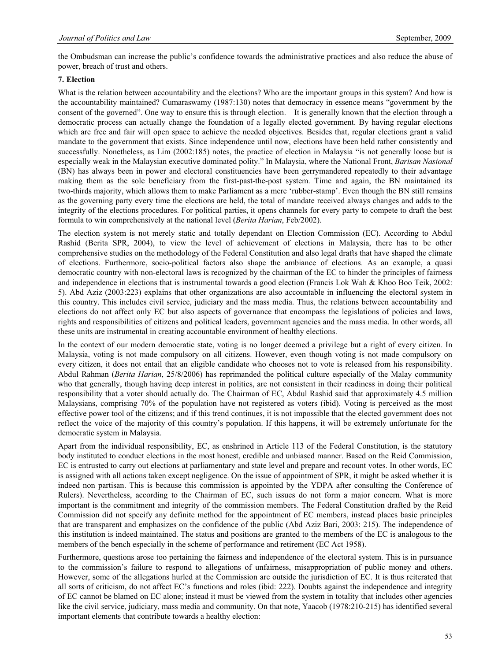the Ombudsman can increase the public's confidence towards the administrative practices and also reduce the abuse of power, breach of trust and others.

# **7. Election**

What is the relation between accountability and the elections? Who are the important groups in this system? And how is the accountability maintained? Cumaraswamy (1987:130) notes that democracy in essence means "government by the consent of the governed". One way to ensure this is through election. It is generally known that the election through a democratic process can actually change the foundation of a legally elected government. By having regular elections which are free and fair will open space to achieve the needed objectives. Besides that, regular elections grant a valid mandate to the government that exists. Since independence until now, elections have been held rather consistently and successfully. Nonetheless, as Lim (2002:185) notes, the practice of election in Malaysia "is not generally loose but is especially weak in the Malaysian executive dominated polity." In Malaysia, where the National Front, *Barisan Nasional* (BN) has always been in power and electoral constituencies have been gerrymandered repeatedly to their advantage making them as the sole beneficiary from the first-past-the-post system. Time and again, the BN maintained its two-thirds majority, which allows them to make Parliament as a mere 'rubber-stamp'. Even though the BN still remains as the governing party every time the elections are held, the total of mandate received always changes and adds to the integrity of the elections procedures. For political parties, it opens channels for every party to compete to draft the best formula to win comprehensively at the national level (*Berita Harian*, Feb/2002).

The election system is not merely static and totally dependant on Election Commission (EC). According to Abdul Rashid (Berita SPR, 2004), to view the level of achievement of elections in Malaysia, there has to be other comprehensive studies on the methodology of the Federal Constitution and also legal drafts that have shaped the climate of elections. Furthermore, socio-political factors also shape the ambiance of elections. As an example, a quasi democratic country with non-electoral laws is recognized by the chairman of the EC to hinder the principles of fairness and independence in elections that is instrumental towards a good election (Francis Lok Wah & Khoo Boo Teik, 2002: 5). Abd Aziz (2003:223) explains that other organizations are also accountable in influencing the electoral system in this country. This includes civil service, judiciary and the mass media. Thus, the relations between accountability and elections do not affect only EC but also aspects of governance that encompass the legislations of policies and laws, rights and responsibilities of citizens and political leaders, government agencies and the mass media. In other words, all these units are instrumental in creating accountable environment of healthy elections.

In the context of our modern democratic state, voting is no longer deemed a privilege but a right of every citizen. In Malaysia, voting is not made compulsory on all citizens. However, even though voting is not made compulsory on every citizen, it does not entail that an eligible candidate who chooses not to vote is released from his responsibility. Abdul Rahman (*Berita Harian*, 25/8/2006) has reprimanded the political culture especially of the Malay community who that generally, though having deep interest in politics, are not consistent in their readiness in doing their political responsibility that a voter should actually do. The Chairman of EC, Abdul Rashid said that approximately 4.5 million Malaysians, comprising 70% of the population have not registered as voters (ibid). Voting is perceived as the most effective power tool of the citizens; and if this trend continues, it is not impossible that the elected government does not reflect the voice of the majority of this country's population. If this happens, it will be extremely unfortunate for the democratic system in Malaysia.

Apart from the individual responsibility, EC, as enshrined in Article 113 of the Federal Constitution, is the statutory body instituted to conduct elections in the most honest, credible and unbiased manner. Based on the Reid Commission, EC is entrusted to carry out elections at parliamentary and state level and prepare and recount votes. In other words, EC is assigned with all actions taken except negligence. On the issue of appointment of SPR, it might be asked whether it is indeed non partisan. This is because this commission is appointed by the YDPA after consulting the Conference of Rulers). Nevertheless, according to the Chairman of EC, such issues do not form a major concern. What is more important is the commitment and integrity of the commission members. The Federal Constitution drafted by the Reid Commission did not specify any definite method for the appointment of EC members, instead places basic principles that are transparent and emphasizes on the confidence of the public (Abd Aziz Bari, 2003: 215). The independence of this institution is indeed maintained. The status and positions are granted to the members of the EC is analogous to the members of the bench especially in the scheme of performance and retirement (EC Act 1958).

Furthermore, questions arose too pertaining the fairness and independence of the electoral system. This is in pursuance to the commission's failure to respond to allegations of unfairness, misappropriation of public money and others. However, some of the allegations hurled at the Commission are outside the jurisdiction of EC. It is thus reiterated that all sorts of criticism, do not affect EC's functions and roles (ibid: 222). Doubts against the independence and integrity of EC cannot be blamed on EC alone; instead it must be viewed from the system in totality that includes other agencies like the civil service, judiciary, mass media and community. On that note, Yaacob (1978:210-215) has identified several important elements that contribute towards a healthy election: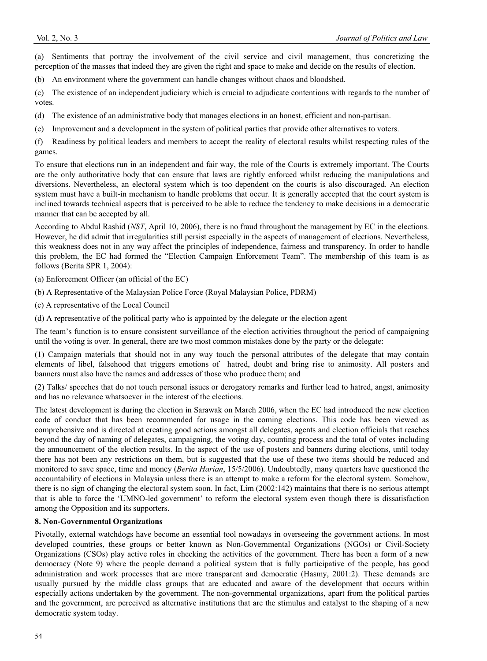(a) Sentiments that portray the involvement of the civil service and civil management, thus concretizing the perception of the masses that indeed they are given the right and space to make and decide on the results of election.

(b) An environment where the government can handle changes without chaos and bloodshed.

(c) The existence of an independent judiciary which is crucial to adjudicate contentions with regards to the number of votes.

(d) The existence of an administrative body that manages elections in an honest, efficient and non-partisan.

(e) Improvement and a development in the system of political parties that provide other alternatives to voters.

(f) Readiness by political leaders and members to accept the reality of electoral results whilst respecting rules of the games.

To ensure that elections run in an independent and fair way, the role of the Courts is extremely important. The Courts are the only authoritative body that can ensure that laws are rightly enforced whilst reducing the manipulations and diversions. Nevertheless, an electoral system which is too dependent on the courts is also discouraged. An election system must have a built-in mechanism to handle problems that occur. It is generally accepted that the court system is inclined towards technical aspects that is perceived to be able to reduce the tendency to make decisions in a democratic manner that can be accepted by all.

According to Abdul Rashid (*NST*, April 10, 2006), there is no fraud throughout the management by EC in the elections. However, he did admit that irregularities still persist especially in the aspects of management of elections. Nevertheless, this weakness does not in any way affect the principles of independence, fairness and transparency. In order to handle this problem, the EC had formed the "Election Campaign Enforcement Team". The membership of this team is as follows (Berita SPR 1, 2004):

(a) Enforcement Officer (an official of the EC)

- (b) A Representative of the Malaysian Police Force (Royal Malaysian Police, PDRM)
- (c) A representative of the Local Council

(d) A representative of the political party who is appointed by the delegate or the election agent

The team's function is to ensure consistent surveillance of the election activities throughout the period of campaigning until the voting is over. In general, there are two most common mistakes done by the party or the delegate:

(1) Campaign materials that should not in any way touch the personal attributes of the delegate that may contain elements of libel, falsehood that triggers emotions of hatred, doubt and bring rise to animosity. All posters and banners must also have the names and addresses of those who produce them; and

(2) Talks/ speeches that do not touch personal issues or derogatory remarks and further lead to hatred, angst, animosity and has no relevance whatsoever in the interest of the elections.

The latest development is during the election in Sarawak on March 2006, when the EC had introduced the new election code of conduct that has been recommended for usage in the coming elections. This code has been viewed as comprehensive and is directed at creating good actions amongst all delegates, agents and election officials that reaches beyond the day of naming of delegates, campaigning, the voting day, counting process and the total of votes including the announcement of the election results. In the aspect of the use of posters and banners during elections, until today there has not been any restrictions on them, but is suggested that the use of these two items should be reduced and monitored to save space, time and money (*Berita Harian*, 15/5/2006). Undoubtedly, many quarters have questioned the accountability of elections in Malaysia unless there is an attempt to make a reform for the electoral system. Somehow, there is no sign of changing the electoral system soon. In fact, Lim (2002:142) maintains that there is no serious attempt that is able to force the 'UMNO-led government' to reform the electoral system even though there is dissatisfaction among the Opposition and its supporters.

#### **8. Non-Governmental Organizations**

Pivotally, external watchdogs have become an essential tool nowadays in overseeing the government actions. In most developed countries, these groups or better known as Non-Governmental Organizations (NGOs) or Civil-Society Organizations (CSOs) play active roles in checking the activities of the government. There has been a form of a new democracy (Note 9) where the people demand a political system that is fully participative of the people, has good administration and work processes that are more transparent and democratic (Hasmy, 2001:2). These demands are usually pursued by the middle class groups that are educated and aware of the development that occurs within especially actions undertaken by the government. The non-governmental organizations, apart from the political parties and the government, are perceived as alternative institutions that are the stimulus and catalyst to the shaping of a new democratic system today.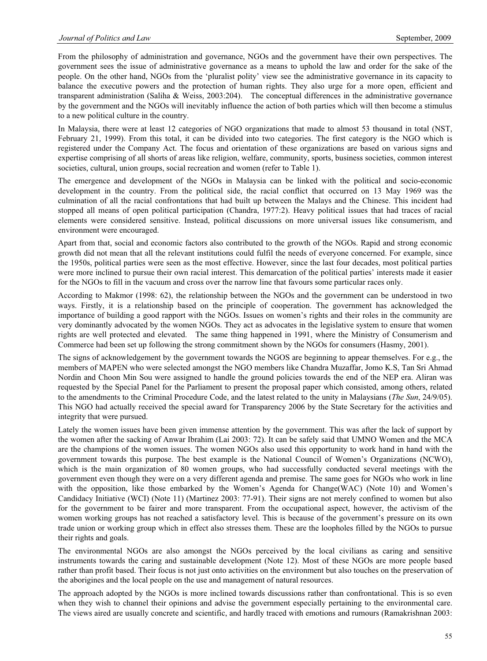From the philosophy of administration and governance, NGOs and the government have their own perspectives. The government sees the issue of administrative governance as a means to uphold the law and order for the sake of the people. On the other hand, NGOs from the 'pluralist polity' view see the administrative governance in its capacity to balance the executive powers and the protection of human rights. They also urge for a more open, efficient and transparent administration (Saliha & Weiss, 2003:204). The conceptual differences in the administrative governance by the government and the NGOs will inevitably influence the action of both parties which will then become a stimulus to a new political culture in the country.

In Malaysia, there were at least 12 categories of NGO organizations that made to almost 53 thousand in total (NST, February 21, 1999). From this total, it can be divided into two categories. The first category is the NGO which is registered under the Company Act. The focus and orientation of these organizations are based on various signs and expertise comprising of all shorts of areas like religion, welfare, community, sports, business societies, common interest societies, cultural, union groups, social recreation and women (refer to Table 1).

The emergence and development of the NGOs in Malaysia can be linked with the political and socio-economic development in the country. From the political side, the racial conflict that occurred on 13 May 1969 was the culmination of all the racial confrontations that had built up between the Malays and the Chinese. This incident had stopped all means of open political participation (Chandra, 1977:2). Heavy political issues that had traces of racial elements were considered sensitive. Instead, political discussions on more universal issues like consumerism, and environment were encouraged.

Apart from that, social and economic factors also contributed to the growth of the NGOs. Rapid and strong economic growth did not mean that all the relevant institutions could fulfil the needs of everyone concerned. For example, since the 1950s, political parties were seen as the most effective. However, since the last four decades, most political parties were more inclined to pursue their own racial interest. This demarcation of the political parties' interests made it easier for the NGOs to fill in the vacuum and cross over the narrow line that favours some particular races only.

According to Makmor (1998: 62), the relationship between the NGOs and the government can be understood in two ways. Firstly, it is a relationship based on the principle of cooperation. The government has acknowledged the importance of building a good rapport with the NGOs. Issues on women's rights and their roles in the community are very dominantly advocated by the women NGOs. They act as advocates in the legislative system to ensure that women rights are well protected and elevated. The same thing happened in 1991, where the Ministry of Consumerism and Commerce had been set up following the strong commitment shown by the NGOs for consumers (Hasmy, 2001).

The signs of acknowledgement by the government towards the NGOS are beginning to appear themselves. For e.g., the members of MAPEN who were selected amongst the NGO members like Chandra Muzaffar, Jomo K.S, Tan Sri Ahmad Nordin and Choon Min Sou were assigned to handle the ground policies towards the end of the NEP era. Aliran was requested by the Special Panel for the Parliament to present the proposal paper which consisted, among others, related to the amendments to the Criminal Procedure Code, and the latest related to the unity in Malaysians (*The Sun*, 24/9/05). This NGO had actually received the special award for Transparency 2006 by the State Secretary for the activities and integrity that were pursued.

Lately the women issues have been given immense attention by the government. This was after the lack of support by the women after the sacking of Anwar Ibrahim (Lai 2003: 72). It can be safely said that UMNO Women and the MCA are the champions of the women issues. The women NGOs also used this opportunity to work hand in hand with the government towards this purpose. The best example is the National Council of Women's Organizations (NCWO), which is the main organization of 80 women groups, who had successfully conducted several meetings with the government even though they were on a very different agenda and premise. The same goes for NGOs who work in line with the opposition, like those embarked by the Women's Agenda for Change(WAC) (Note 10) and Women's Candidacy Initiative (WCI) (Note 11) (Martinez 2003: 77-91). Their signs are not merely confined to women but also for the government to be fairer and more transparent. From the occupational aspect, however, the activism of the women working groups has not reached a satisfactory level. This is because of the government's pressure on its own trade union or working group which in effect also stresses them. These are the loopholes filled by the NGOs to pursue their rights and goals.

The environmental NGOs are also amongst the NGOs perceived by the local civilians as caring and sensitive instruments towards the caring and sustainable development (Note 12). Most of these NGOs are more people based rather than profit based. Their focus is not just onto activities on the environment but also touches on the preservation of the aborigines and the local people on the use and management of natural resources.

The approach adopted by the NGOs is more inclined towards discussions rather than confrontational. This is so even when they wish to channel their opinions and advise the government especially pertaining to the environmental care. The views aired are usually concrete and scientific, and hardly traced with emotions and rumours (Ramakrishnan 2003: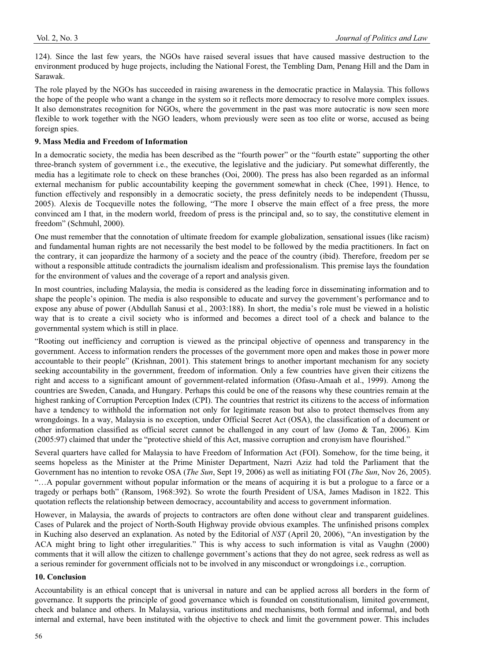124). Since the last few years, the NGOs have raised several issues that have caused massive destruction to the environment produced by huge projects, including the National Forest, the Tembling Dam, Penang Hill and the Dam in Sarawak.

The role played by the NGOs has succeeded in raising awareness in the democratic practice in Malaysia. This follows the hope of the people who want a change in the system so it reflects more democracy to resolve more complex issues. It also demonstrates recognition for NGOs, where the government in the past was more autocratic is now seen more flexible to work together with the NGO leaders, whom previously were seen as too elite or worse, accused as being foreign spies.

## **9. Mass Media and Freedom of Information**

In a democratic society, the media has been described as the "fourth power" or the "fourth estate" supporting the other three-branch system of government i.e., the executive, the legislative and the judiciary. Put somewhat differently, the media has a legitimate role to check on these branches (Ooi, 2000). The press has also been regarded as an informal external mechanism for public accountability keeping the government somewhat in check (Chee, 1991). Hence, to function effectively and responsibly in a democratic society, the press definitely needs to be independent (Thussu, 2005). Alexis de Tocqueville notes the following, "The more I observe the main effect of a free press, the more convinced am I that, in the modern world, freedom of press is the principal and, so to say, the constitutive element in freedom" (Schmuhl, 2000).

One must remember that the connotation of ultimate freedom for example globalization, sensational issues (like racism) and fundamental human rights are not necessarily the best model to be followed by the media practitioners. In fact on the contrary, it can jeopardize the harmony of a society and the peace of the country (ibid). Therefore, freedom per se without a responsible attitude contradicts the journalism idealism and professionalism. This premise lays the foundation for the environment of values and the coverage of a report and analysis given.

In most countries, including Malaysia, the media is considered as the leading force in disseminating information and to shape the people's opinion. The media is also responsible to educate and survey the government's performance and to expose any abuse of power (Abdullah Sanusi et al., 2003:188). In short, the media's role must be viewed in a holistic way that is to create a civil society who is informed and becomes a direct tool of a check and balance to the governmental system which is still in place.

"Rooting out inefficiency and corruption is viewed as the principal objective of openness and transparency in the government. Access to information renders the processes of the government more open and makes those in power more accountable to their people" (Krishnan, 2001). This statement brings to another important mechanism for any society seeking accountability in the government, freedom of information. Only a few countries have given their citizens the right and access to a significant amount of government-related information (Ofasu-Amaah et al., 1999). Among the countries are Sweden, Canada, and Hungary. Perhaps this could be one of the reasons why these countries remain at the highest ranking of Corruption Perception Index (CPI). The countries that restrict its citizens to the access of information have a tendency to withhold the information not only for legitimate reason but also to protect themselves from any wrongdoings. In a way, Malaysia is no exception, under Official Secret Act (OSA), the classification of a document or other information classified as official secret cannot be challenged in any court of law (Jomo & Tan, 2006). Kim (2005:97) claimed that under the "protective shield of this Act, massive corruption and cronyism have flourished."

Several quarters have called for Malaysia to have Freedom of Information Act (FOI). Somehow, for the time being, it seems hopeless as the Minister at the Prime Minister Department, Nazri Aziz had told the Parliament that the Government has no intention to revoke OSA (*The Sun*, Sept 19, 2006) as well as initiating FOI (*The Sun*, Nov 26, 2005). "…A popular government without popular information or the means of acquiring it is but a prologue to a farce or a tragedy or perhaps both" (Ransom, 1968:392). So wrote the fourth President of USA, James Madison in 1822. This quotation reflects the relationship between democracy, accountability and access to government information.

However, in Malaysia, the awards of projects to contractors are often done without clear and transparent guidelines. Cases of Pularek and the project of North-South Highway provide obvious examples. The unfinished prisons complex in Kuching also deserved an explanation. As noted by the Editorial of *NST* (April 20, 2006), "An investigation by the ACA might bring to light other irregularities." This is why access to such information is vital as Vaughn (2000) comments that it will allow the citizen to challenge government's actions that they do not agree, seek redress as well as a serious reminder for government officials not to be involved in any misconduct or wrongdoings i.e., corruption.

#### **10. Conclusion**

Accountability is an ethical concept that is universal in nature and can be applied across all borders in the form of governance. It supports the principle of good governance which is founded on constitutionalism, limited government, check and balance and others. In Malaysia, various institutions and mechanisms, both formal and informal, and both internal and external, have been instituted with the objective to check and limit the government power. This includes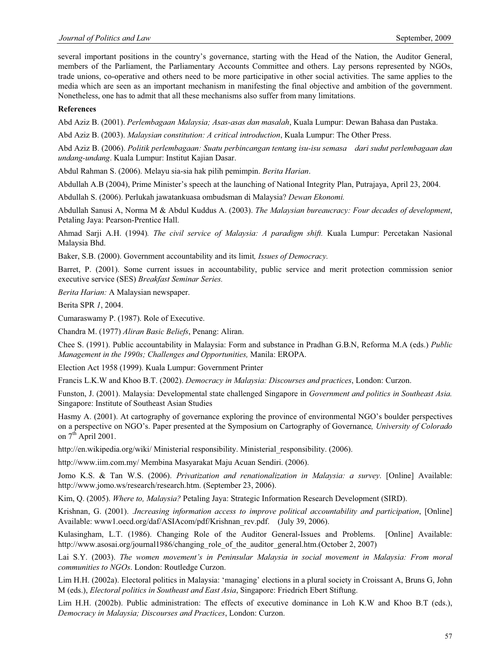several important positions in the country's governance, starting with the Head of the Nation, the Auditor General, members of the Parliament, the Parliamentary Accounts Committee and others. Lay persons represented by NGOs, trade unions, co-operative and others need to be more participative in other social activities. The same applies to the media which are seen as an important mechanism in manifesting the final objective and ambition of the government. Nonetheless, one has to admit that all these mechanisms also suffer from many limitations.

#### **References**

Abd Aziz B. (2001). *Perlembagaan Malaysia; Asas-asas dan masalah*, Kuala Lumpur: Dewan Bahasa dan Pustaka.

Abd Aziz B. (2003). *Malaysian constitution: A critical introduction*, Kuala Lumpur: The Other Press.

Abd Aziz B. (2006). *Politik perlembagaan: Suatu perbincangan tentang isu-isu semasa dari sudut perlembagaan dan undang-undang*. Kuala Lumpur: Institut Kajian Dasar.

Abdul Rahman S. (2006). Melayu sia-sia hak pilih pemimpin. *Berita Harian*.

Abdullah A.B (2004), Prime Minister's speech at the launching of National Integrity Plan, Putrajaya, April 23, 2004.

Abdullah S. (2006). Perlukah jawatankuasa ombudsman di Malaysia? *Dewan Ekonomi.* 

Abdullah Sanusi A, Norma M & Abdul Kuddus A. (2003). *The Malaysian bureaucracy: Four decades of development*, Petaling Jaya: Pearson-Prentice Hall.

Ahmad Sarji A.H. (1994)*. The civil service of Malaysia: A paradigm shift.* Kuala Lumpur: Percetakan Nasional Malaysia Bhd.

Baker, S.B. (2000). Government accountability and its limit*, Issues of Democracy.*

Barret, P. (2001). Some current issues in accountability, public service and merit protection commission senior executive service (SES) *Breakfast Seminar Series.*

*Berita Harian:* A Malaysian newspaper.

Berita SPR *1*, 2004.

Cumaraswamy P. (1987). Role of Executive.

Chandra M. (1977) *Aliran Basic Beliefs*, Penang: Aliran.

Chee S. (1991). Public accountability in Malaysia: Form and substance in Pradhan G.B.N, Reforma M.A (eds.) *Public Management in the 1990s; Challenges and Opportunities,* Manila: EROPA.

Election Act 1958 (1999). Kuala Lumpur: Government Printer

Francis L.K.W and Khoo B.T. (2002). *Democracy in Malaysia: Discourses and practices*, London: Curzon.

Funston, J. (2001). Malaysia: Developmental state challenged Singapore in *Government and politics in Southeast Asia.*  Singapore: Institute of Southeast Asian Studies

Hasmy A. (2001). At cartography of governance exploring the province of environmental NGO's boulder perspectives on a perspective on NGO's. Paper presented at the Symposium on Cartography of Governance*, University of Colorado* on  $7<sup>th</sup>$  April 2001.

http://en.wikipedia.org/wiki/ Ministerial responsibility. Ministerial responsibility. (2006).

http://www.iim.com.my/ Membina Masyarakat Maju Acuan Sendiri. (2006).

Jomo K.S. & Tan W.S. (2006). *Privatization and renationalization in Malaysia: a survey*. [Online] Available: http://www.jomo.ws/research/research.htm. (September 23, 2006).

Kim, Q. (2005). *Where to, Malaysia?* Petaling Jaya: Strategic Information Research Development (SIRD).

Krishnan, G. (2001). .*Increasing information access to improve political accountability and participation*, [Online] Available: www1.oecd.org/daf/ASIAcom/pdf/Krishnan\_rev.pdf. (July 39, 2006).

Kulasingham, L.T. (1986). Changing Role of the Auditor General-Issues and Problems. [Online] Available: http://www.asosai.org/journal1986/changing\_role\_of\_the\_auditor\_general.htm.(October 2, 2007)

Lai S.Y. (2003). *The women movement's in Peninsular Malaysia in social movement in Malaysia: From moral communities to NGOs*. London: Routledge Curzon.

Lim H.H. (2002a). Electoral politics in Malaysia: 'managing' elections in a plural society in Croissant A, Bruns G, John M (eds.), *Electoral politics in Southeast and East Asia*, Singapore: Friedrich Ebert Stiftung.

Lim H.H. (2002b). Public administration: The effects of executive dominance in Loh K.W and Khoo B.T (eds.), *Democracy in Malaysia; Discourses and Practices*, London: Curzon.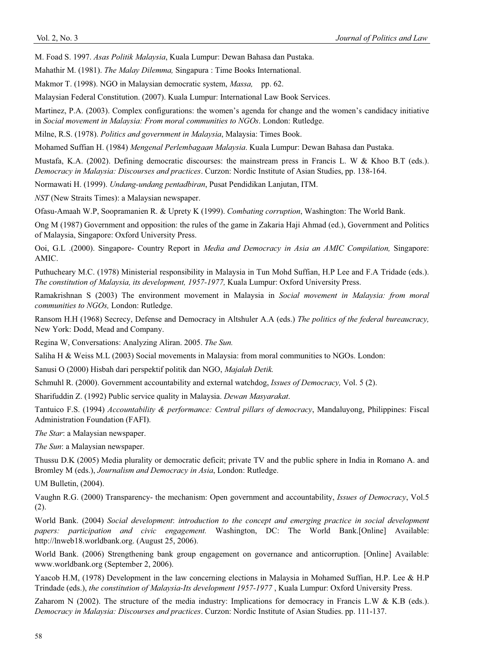M. Foad S. 1997. *Asas Politik Malaysia*, Kuala Lumpur: Dewan Bahasa dan Pustaka.

Mahathir M. (1981). *The Malay Dilemma,* Singapura : Time Books International.

Makmor T. (1998). NGO in Malaysian democratic system, *Massa,* pp. 62.

Malaysian Federal Constitution. (2007). Kuala Lumpur: International Law Book Services.

Martinez, P.A. (2003). Complex configurations: the women's agenda for change and the women's candidacy initiative in *Social movement in Malaysia: From moral communities to NGOs*. London: Rutledge.

Milne, R.S. (1978). *Politics and government in Malaysia*, Malaysia: Times Book.

Mohamed Suffian H. (1984) *Mengenal Perlembagaan Malaysia*. Kuala Lumpur: Dewan Bahasa dan Pustaka.

Mustafa, K.A. (2002). Defining democratic discourses: the mainstream press in Francis L. W & Khoo B.T (eds.). *Democracy in Malaysia: Discourses and practices*. Curzon: Nordic Institute of Asian Studies, pp. 138-164.

Normawati H. (1999). *Undang-undang pentadbiran*, Pusat Pendidikan Lanjutan, ITM.

*NST* (New Straits Times): a Malaysian newspaper.

Ofasu-Amaah W.P, Soopramanien R. & Uprety K (1999). *Combating corruption*, Washington: The World Bank.

Ong M (1987) Government and opposition: the rules of the game in Zakaria Haji Ahmad (ed.), Government and Politics of Malaysia, Singapore: Oxford University Press.

Ooi, G.L .(2000). Singapore- Country Report in *Media and Democracy in Asia an AMIC Compilation,* Singapore: AMIC.

Puthucheary M.C. (1978) Ministerial responsibility in Malaysia in Tun Mohd Suffian, H.P Lee and F.A Tridade (eds.). *The constitution of Malaysia, its development, 1957-1977,* Kuala Lumpur: Oxford University Press.

Ramakrishnan S (2003) The environment movement in Malaysia in *Social movement in Malaysia: from moral communities to NGOs,* London: Rutledge.

Ransom H.H (1968) Secrecy, Defense and Democracy in Altshuler A.A (eds.) *The politics of the federal bureaucracy,* New York: Dodd, Mead and Company.

Regina W, Conversations: Analyzing Aliran. 2005. *The Sun.* 

Saliha H & Weiss M.L (2003) Social movements in Malaysia: from moral communities to NGOs. London:

Sanusi O (2000) Hisbah dari perspektif politik dan NGO, *Majalah Detik.* 

Schmuhl R. (2000). Government accountability and external watchdog, *Issues of Democracy,* Vol. 5 (2).

Sharifuddin Z. (1992) Public service quality in Malaysia. *Dewan Masyarakat*.

Tantuico F.S. (1994) *Accountability & performance: Central pillars of democracy*, Mandaluyong, Philippines: Fiscal Administration Foundation (FAFI).

*The Star*: a Malaysian newspaper.

*The Sun*: a Malaysian newspaper.

Thussu D.K (2005) Media plurality or democratic deficit; private TV and the public sphere in India in Romano A. and Bromley M (eds.), *Journalism and Democracy in Asia*, London: Rutledge.

UM Bulletin, (2004).

Vaughn R.G. (2000) Transparency- the mechanism: Open government and accountability, *Issues of Democracy*, Vol.5 (2).

World Bank. (2004) *Social development*: *introduction to the concept and emerging practice in social development papers: participation and civic engagement.* Washington, DC: The World Bank.[Online] Available: http://lnweb18.worldbank.org. (August 25, 2006).

World Bank. (2006) Strengthening bank group engagement on governance and anticorruption. [Online] Available: www.worldbank.org (September 2, 2006).

Yaacob H.M, (1978) Development in the law concerning elections in Malaysia in Mohamed Suffian, H.P. Lee & H.P Trindade (eds.), *the constitution of Malaysia-Its development 1957-1977* , Kuala Lumpur: Oxford University Press.

Zaharom N (2002). The structure of the media industry: Implications for democracy in Francis L.W & K.B (eds.). *Democracy in Malaysia: Discourses and practices*. Curzon: Nordic Institute of Asian Studies. pp. 111-137.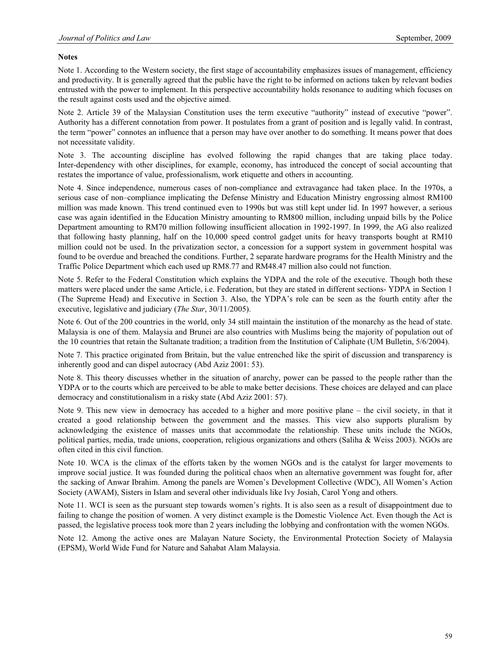# **Notes**

Note 1. According to the Western society, the first stage of accountability emphasizes issues of management, efficiency and productivity. It is generally agreed that the public have the right to be informed on actions taken by relevant bodies entrusted with the power to implement. In this perspective accountability holds resonance to auditing which focuses on the result against costs used and the objective aimed.

Note 2. Article 39 of the Malaysian Constitution uses the term executive "authority" instead of executive "power". Authority has a different connotation from power. It postulates from a grant of position and is legally valid. In contrast, the term "power" connotes an influence that a person may have over another to do something. It means power that does not necessitate validity.

Note 3. The accounting discipline has evolved following the rapid changes that are taking place today. Inter-dependency with other disciplines, for example, economy, has introduced the concept of social accounting that restates the importance of value, professionalism, work etiquette and others in accounting.

Note 4. Since independence, numerous cases of non-compliance and extravagance had taken place. In the 1970s, a serious case of non–compliance implicating the Defense Ministry and Education Ministry engrossing almost RM100 million was made known. This trend continued even to 1990s but was still kept under lid. In 1997 however, a serious case was again identified in the Education Ministry amounting to RM800 million, including unpaid bills by the Police Department amounting to RM70 million following insufficient allocation in 1992-1997. In 1999, the AG also realized that following hasty planning, half on the 10,000 speed control gadget units for heavy transports bought at RM10 million could not be used. In the privatization sector, a concession for a support system in government hospital was found to be overdue and breached the conditions. Further, 2 separate hardware programs for the Health Ministry and the Traffic Police Department which each used up RM8.77 and RM48.47 million also could not function.

Note 5. Refer to the Federal Constitution which explains the YDPA and the role of the executive. Though both these matters were placed under the same Article, i.e. Federation, but they are stated in different sections- YDPA in Section 1 (The Supreme Head) and Executive in Section 3. Also, the YDPA's role can be seen as the fourth entity after the executive, legislative and judiciary (*The Star*, 30/11/2005).

Note 6. Out of the 200 countries in the world, only 34 still maintain the institution of the monarchy as the head of state. Malaysia is one of them. Malaysia and Brunei are also countries with Muslims being the majority of population out of the 10 countries that retain the Sultanate tradition; a tradition from the Institution of Caliphate (UM Bulletin, 5/6/2004).

Note 7. This practice originated from Britain, but the value entrenched like the spirit of discussion and transparency is inherently good and can dispel autocracy (Abd Aziz 2001: 53).

Note 8. This theory discusses whether in the situation of anarchy, power can be passed to the people rather than the YDPA or to the courts which are perceived to be able to make better decisions. These choices are delayed and can place democracy and constitutionalism in a risky state (Abd Aziz 2001: 57).

Note 9. This new view in democracy has acceded to a higher and more positive plane – the civil society, in that it created a good relationship between the government and the masses. This view also supports pluralism by acknowledging the existence of masses units that accommodate the relationship. These units include the NGOs, political parties, media, trade unions, cooperation, religious organizations and others (Saliha & Weiss 2003). NGOs are often cited in this civil function.

Note 10. WCA is the climax of the efforts taken by the women NGOs and is the catalyst for larger movements to improve social justice. It was founded during the political chaos when an alternative government was fought for, after the sacking of Anwar Ibrahim. Among the panels are Women's Development Collective (WDC), All Women's Action Society (AWAM), Sisters in Islam and several other individuals like Ivy Josiah, Carol Yong and others.

Note 11. WCI is seen as the pursuant step towards women's rights. It is also seen as a result of disappointment due to failing to change the position of women. A very distinct example is the Domestic Violence Act. Even though the Act is passed, the legislative process took more than 2 years including the lobbying and confrontation with the women NGOs.

Note 12. Among the active ones are Malayan Nature Society, the Environmental Protection Society of Malaysia (EPSM), World Wide Fund for Nature and Sahabat Alam Malaysia.